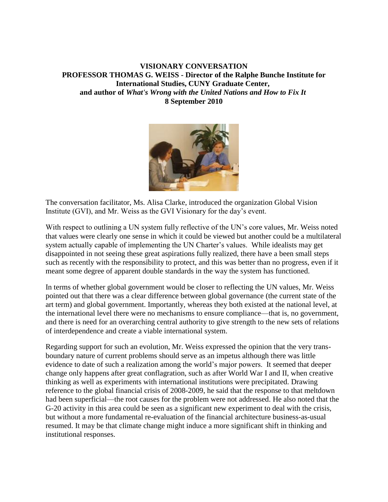## **VISIONARY CONVERSATION PROFESSOR THOMAS G. WEISS - Director of the Ralphe Bunche Institute for International Studies, CUNY Graduate Center, and author of** *What's Wrong with the United Nations and How to Fix It* **8 September 2010**



The conversation facilitator, Ms. Alisa Clarke, introduced the organization Global Vision Institute (GVI), and Mr. Weiss as the GVI Visionary for the day's event.

With respect to outlining a UN system fully reflective of the UN's core values, Mr. Weiss noted that values were clearly one sense in which it could be viewed but another could be a multilateral system actually capable of implementing the UN Charter's values. While idealists may get disappointed in not seeing these great aspirations fully realized, there have a been small steps such as recently with the responsibility to protect, and this was better than no progress, even if it meant some degree of apparent double standards in the way the system has functioned.

In terms of whether global government would be closer to reflecting the UN values, Mr. Weiss pointed out that there was a clear difference between global governance (the current state of the art term) and global government. Importantly, whereas they both existed at the national level, at the international level there were no mechanisms to ensure compliance—that is, no government, and there is need for an overarching central authority to give strength to the new sets of relations of interdependence and create a viable international system.

Regarding support for such an evolution, Mr. Weiss expressed the opinion that the very transboundary nature of current problems should serve as an impetus although there was little evidence to date of such a realization among the world's major powers. It seemed that deeper change only happens after great conflagration, such as after World War I and II, when creative thinking as well as experiments with international institutions were precipitated. Drawing reference to the global financial crisis of 2008-2009, he said that the response to that meltdown had been superficial—the root causes for the problem were not addressed. He also noted that the G-20 activity in this area could be seen as a significant new experiment to deal with the crisis, but without a more fundamental re-evaluation of the financial architecture business-as-usual resumed. It may be that climate change might induce a more significant shift in thinking and institutional responses.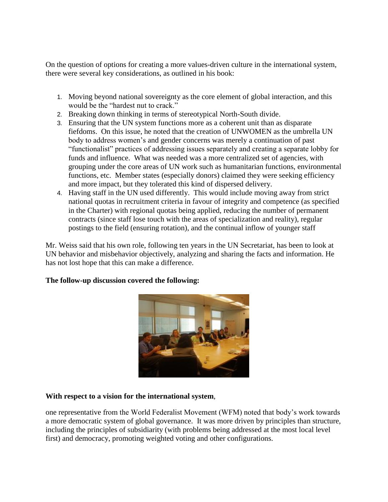On the question of options for creating a more values-driven culture in the international system, there were several key considerations, as outlined in his book:

- 1. Moving beyond national sovereignty as the core element of global interaction, and this would be the "hardest nut to crack."
- 2. Breaking down thinking in terms of stereotypical North-South divide.
- 3. Ensuring that the UN system functions more as a coherent unit than as disparate fiefdoms. On this issue, he noted that the creation of UNWOMEN as the umbrella UN body to address women's and gender concerns was merely a continuation of past "functionalist" practices of addressing issues separately and creating a separate lobby for funds and influence. What was needed was a more centralized set of agencies, with grouping under the core areas of UN work such as humanitarian functions, environmental functions, etc. Member states (especially donors) claimed they were seeking efficiency and more impact, but they tolerated this kind of dispersed delivery.
- 4. Having staff in the UN used differently. This would include moving away from strict national quotas in recruitment criteria in favour of integrity and competence (as specified in the Charter) with regional quotas being applied, reducing the number of permanent contracts (since staff lose touch with the areas of specialization and reality), regular postings to the field (ensuring rotation), and the continual inflow of younger staff

Mr. Weiss said that his own role, following ten years in the UN Secretariat, has been to look at UN behavior and misbehavior objectively, analyzing and sharing the facts and information. He has not lost hope that this can make a difference.

## **The follow-up discussion covered the following:**



## **With respect to a vision for the international system**,

one representative from the World Federalist Movement (WFM) noted that body's work towards a more democratic system of global governance. It was more driven by principles than structure, including the principles of subsidiarity (with problems being addressed at the most local level first) and democracy, promoting weighted voting and other configurations.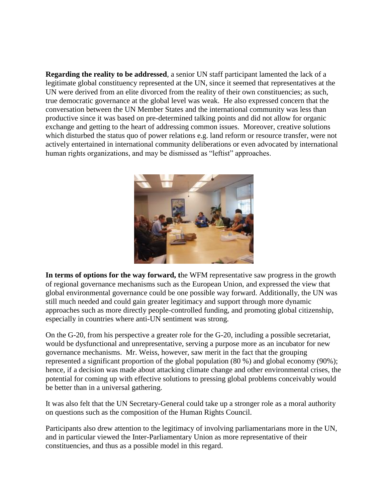**Regarding the reality to be addressed**, a senior UN staff participant lamented the lack of a legitimate global constituency represented at the UN, since it seemed that representatives at the UN were derived from an elite divorced from the reality of their own constituencies; as such, true democratic governance at the global level was weak. He also expressed concern that the conversation between the UN Member States and the international community was less than productive since it was based on pre-determined talking points and did not allow for organic exchange and getting to the heart of addressing common issues. Moreover, creative solutions which disturbed the status quo of power relations e.g. land reform or resource transfer, were not actively entertained in international community deliberations or even advocated by international human rights organizations, and may be dismissed as "leftist" approaches.



**In terms of options for the way forward, t**he WFM representative saw progress in the growth of regional governance mechanisms such as the European Union, and expressed the view that global environmental governance could be one possible way forward. Additionally, the UN was still much needed and could gain greater legitimacy and support through more dynamic approaches such as more directly people-controlled funding, and promoting global citizenship, especially in countries where anti-UN sentiment was strong.

On the G-20, from his perspective a greater role for the G-20, including a possible secretariat, would be dysfunctional and unrepresentative, serving a purpose more as an incubator for new governance mechanisms. Mr. Weiss, however, saw merit in the fact that the grouping represented a significant proportion of the global population (80 %) and global economy (90%); hence, if a decision was made about attacking climate change and other environmental crises, the potential for coming up with effective solutions to pressing global problems conceivably would be better than in a universal gathering.

It was also felt that the UN Secretary-General could take up a stronger role as a moral authority on questions such as the composition of the Human Rights Council.

Participants also drew attention to the legitimacy of involving parliamentarians more in the UN, and in particular viewed the Inter-Parliamentary Union as more representative of their constituencies, and thus as a possible model in this regard.